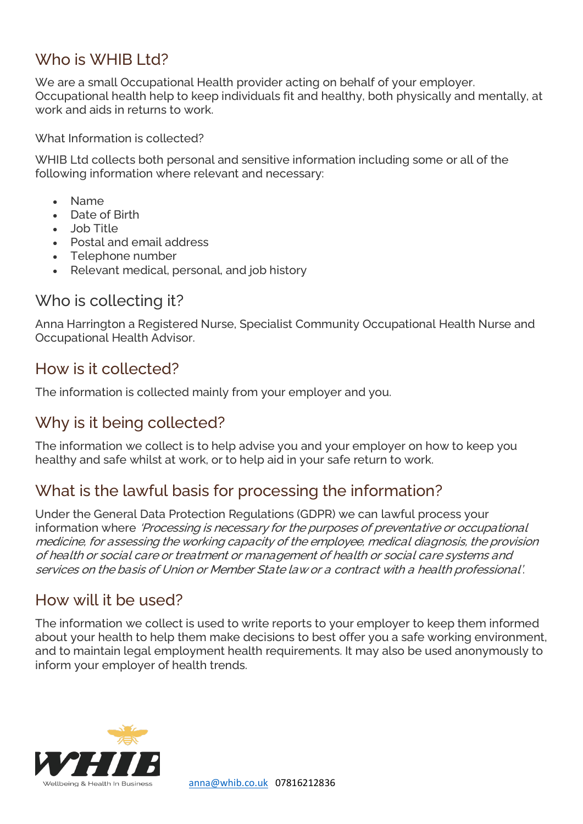### Who is WHIB Ltd?

We are a small Occupational Health provider acting on behalf of your employer. Occupational health help to keep individuals fit and healthy, both physically and mentally, at work and aids in returns to work.

What Information is collected?

WHIB Ltd collects both personal and sensitive information including some or all of the following information where relevant and necessary:

- Name
- Date of Birth
- Job Title
- Postal and email address
- Telephone number
- Relevant medical, personal, and job history

#### Who is collecting it?

Anna Harrington a Registered Nurse, Specialist Community Occupational Health Nurse and Occupational Health Advisor.

### How is it collected?

The information is collected mainly from your employer and you.

### Why is it being collected?

The information we collect is to help advise you and your employer on how to keep you healthy and safe whilst at work, or to help aid in your safe return to work.

### What is the lawful basis for processing the information?

Under the General Data Protection Regulations (GDPR) we can lawful process your information where 'Processing is necessary for the purposes of preventative or occupational medicine, for assessing the working capacity of the employee, medical diagnosis, the provision of health or social care or treatment or management of health or social care systems and services on the basis of Union or Member State law or a contract with a health professional'.

#### How will it be used?

The information we collect is used to write reports to your employer to keep them informed about your health to help them make decisions to best offer you a safe working environment, and to maintain legal employment health requirements. It may also be used anonymously to inform your employer of health trends.

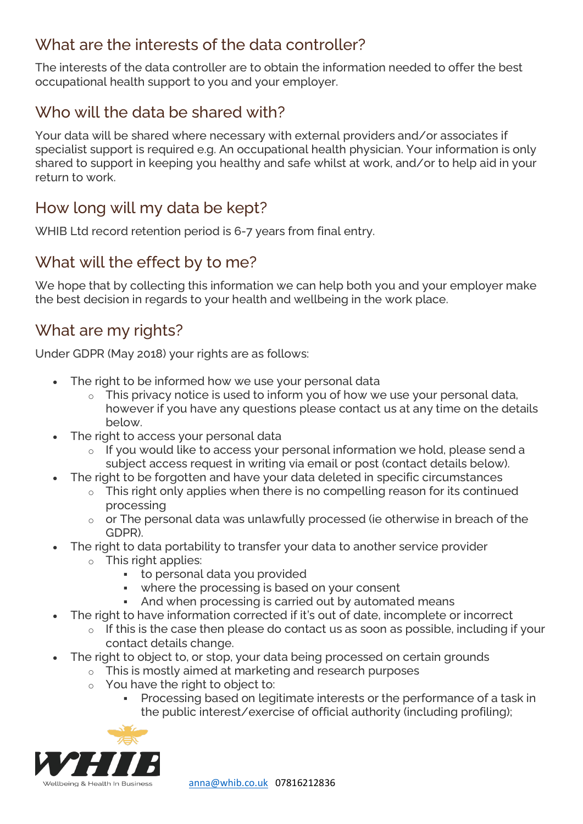# What are the interests of the data controller?

The interests of the data controller are to obtain the information needed to offer the best occupational health support to you and your employer.

# Who will the data be shared with?

Your data will be shared where necessary with external providers and/or associates if specialist support is required e.g. An occupational health physician. Your information is only shared to support in keeping you healthy and safe whilst at work, and/or to help aid in your return to work.

# How long will my data be kept?

WHIB Ltd record retention period is 6-7 years from final entry.

# What will the effect by to me?

We hope that by collecting this information we can help both you and your employer make the best decision in regards to your health and wellbeing in the work place.

# What are my rights?

Under GDPR (May 2018) your rights are as follows:

- The right to be informed how we use your personal data
	- $\circ$  This privacy notice is used to inform you of how we use your personal data, however if you have any questions please contact us at any time on the details below.
- The right to access your personal data
	- o If you would like to access your personal information we hold, please send a subject access request in writing via email or post (contact details below).
- The right to be forgotten and have your data deleted in specific circumstances
	- $\circ$  This right only applies when there is no compelling reason for its continued processing
	- $\circ$  or The personal data was unlawfully processed (ie otherwise in breach of the GDPR).
	- The right to data portability to transfer your data to another service provider
		- $\circ$  This right applies:
			- to personal data you provided
			- where the processing is based on your consent
			- And when processing is carried out by automated means
- The right to have information corrected if it's out of date, incomplete or incorrect
	- $\circ$  If this is the case then please do contact us as soon as possible, including if your contact details change.
- The right to object to, or stop, your data being processed on certain grounds
	- o This is mostly aimed at marketing and research purposes
	- o You have the right to object to:
		- **Processing based on legitimate interests or the performance of a task in** the public interest/exercise of official authority (including profiling);



[anna@whib.co.uk](mailto:anna@whib.co.uk) 07816212836